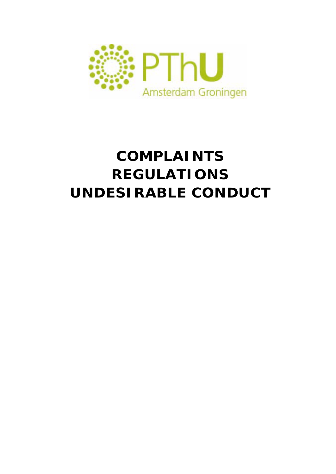

# **COMPLAINTS REGULATIONS UNDESIRABLE CONDUCT**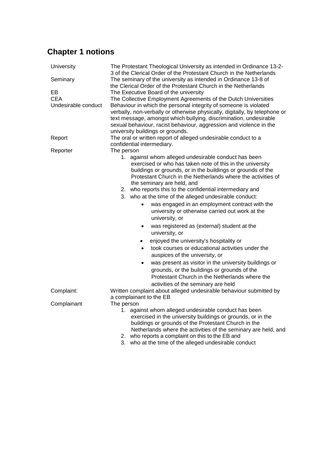# **Chapter 1 notions**

| University          | The Protestant Theological University as intended in Ordinance 13-2-<br>3 of the Clerical Order of the Protestant Church in the Netherlands                                                                                                                                                                                                                                                                                                                                                                                                                                                                                                                                                                                                                                                                                                                                                                                                                                |
|---------------------|----------------------------------------------------------------------------------------------------------------------------------------------------------------------------------------------------------------------------------------------------------------------------------------------------------------------------------------------------------------------------------------------------------------------------------------------------------------------------------------------------------------------------------------------------------------------------------------------------------------------------------------------------------------------------------------------------------------------------------------------------------------------------------------------------------------------------------------------------------------------------------------------------------------------------------------------------------------------------|
| Seminary            | The seminary of the university as intended in Ordinance 13-8 of<br>the Clerical Order of the Protestant Church in the Netherlands                                                                                                                                                                                                                                                                                                                                                                                                                                                                                                                                                                                                                                                                                                                                                                                                                                          |
| EВ                  | The Executive Board of the university                                                                                                                                                                                                                                                                                                                                                                                                                                                                                                                                                                                                                                                                                                                                                                                                                                                                                                                                      |
| <b>CEA</b>          | The Collective Employment Agreements of the Dutch Universities                                                                                                                                                                                                                                                                                                                                                                                                                                                                                                                                                                                                                                                                                                                                                                                                                                                                                                             |
| Undesirable conduct | Behaviour in which the personal integrity of someone is violated<br>verbally, non-verbally or otherwise physically, digitally, by telephone or<br>text message, amongst which bullying, discrimination, undesirable<br>sexual behaviour, racist behaviour, aggression and violence in the                                                                                                                                                                                                                                                                                                                                                                                                                                                                                                                                                                                                                                                                                  |
|                     | university buildings or grounds.                                                                                                                                                                                                                                                                                                                                                                                                                                                                                                                                                                                                                                                                                                                                                                                                                                                                                                                                           |
| Report              | The oral or written report of alleged undesirable conduct to a<br>confidential intermediary.                                                                                                                                                                                                                                                                                                                                                                                                                                                                                                                                                                                                                                                                                                                                                                                                                                                                               |
| Reporter            | The person                                                                                                                                                                                                                                                                                                                                                                                                                                                                                                                                                                                                                                                                                                                                                                                                                                                                                                                                                                 |
|                     | 1. against whom alleged undesirable conduct has been<br>exercised or who has taken note of this in the university<br>buildings or grounds, or in the buildings or grounds of the<br>Protestant Church in the Netherlands where the activities of<br>the seminary are held, and<br>2. who reports this to the confidential intermediary and<br>3. who at the time of the alleged undesirable conduct:<br>was engaged in an employment contract with the<br>university or otherwise carried out work at the<br>university, or<br>was registered as (external) student at the<br>$\bullet$<br>university, or<br>enjoyed the university's hospitality or<br>$\bullet$<br>took courses or educational activities under the<br>$\bullet$<br>auspices of the university, or<br>was present as visitor in the university buildings or<br>٠<br>grounds, or the buildings or grounds of the<br>Protestant Church in the Netherlands where the<br>activities of the seminary are held |
| Complaint:          | Written complaint about alleged undesirable behaviour submitted by                                                                                                                                                                                                                                                                                                                                                                                                                                                                                                                                                                                                                                                                                                                                                                                                                                                                                                         |
|                     | a complainant to the EB                                                                                                                                                                                                                                                                                                                                                                                                                                                                                                                                                                                                                                                                                                                                                                                                                                                                                                                                                    |
| Complainant         | The person<br>against whom alleged undesirable conduct has been<br>1.<br>exercised in the university buildings or grounds, or in the<br>buildings or grounds of the Protestant Church in the<br>Netherlands where the activities of the seminary are held, and<br>2. who reports a complaint on this to the EB and<br>3. who at the time of the alleged undesirable conduct                                                                                                                                                                                                                                                                                                                                                                                                                                                                                                                                                                                                |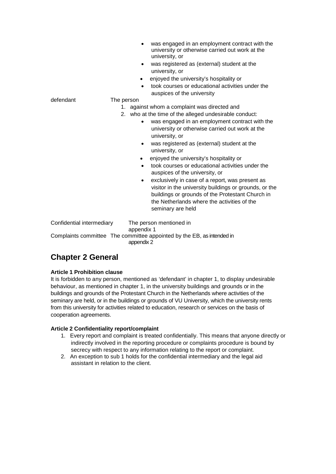|                           | was engaged in an employment contract with the<br>$\bullet$<br>university or otherwise carried out work at the<br>university, or<br>was registered as (external) student at the<br>$\bullet$<br>university, or<br>enjoyed the university's hospitality or<br>٠<br>took courses or educational activities under the<br>$\bullet$<br>auspices of the university |
|---------------------------|---------------------------------------------------------------------------------------------------------------------------------------------------------------------------------------------------------------------------------------------------------------------------------------------------------------------------------------------------------------|
| defendant                 | The person                                                                                                                                                                                                                                                                                                                                                    |
|                           | against whom a complaint was directed and<br>1.                                                                                                                                                                                                                                                                                                               |
|                           | 2. who at the time of the alleged undesirable conduct:                                                                                                                                                                                                                                                                                                        |
|                           | was engaged in an employment contract with the<br>$\bullet$<br>university or otherwise carried out work at the<br>university, or                                                                                                                                                                                                                              |
|                           | was registered as (external) student at the<br>$\bullet$<br>university, or                                                                                                                                                                                                                                                                                    |
|                           | enjoyed the university's hospitality or<br>$\bullet$                                                                                                                                                                                                                                                                                                          |
|                           | took courses or educational activities under the<br>$\bullet$<br>auspices of the university, or                                                                                                                                                                                                                                                               |
|                           | exclusively in case of a report, was present as<br>$\bullet$<br>visitor in the university buildings or grounds, or the<br>buildings or grounds of the Protestant Church in<br>the Netherlands where the activities of the<br>seminary are held                                                                                                                |
| Confidential intermediary | The person mentioned in<br>appendix 1                                                                                                                                                                                                                                                                                                                         |
|                           | Complaints committee The committee appointed by the EB, as intended in                                                                                                                                                                                                                                                                                        |

appendix 2

# **Chapter 2 General**

#### **Article 1 Prohibition clause**

It is forbidden to any person, mentioned as 'defendant' in chapter 1, to display undesirable behaviour, as mentioned in chapter 1, in the university buildings and grounds or in the buildings and grounds of the Protestant Church in the Netherlands where activities of the seminary are held, or in the buildings or grounds of VU University, which the university rents from this university for activities related to education, research or services on the basis of cooperation agreements.

#### **Article 2 Confidentiality report/complaint**

- 1. Every report and complaint is treated confidentially. This means that anyone directly or indirectly involved in the reporting procedure or complaints procedure is bound by secrecy with respect to any information relating to the report or complaint.
- 2. An exception to sub 1 holds for the confidential intermediary and the legal aid assistant in relation to the client.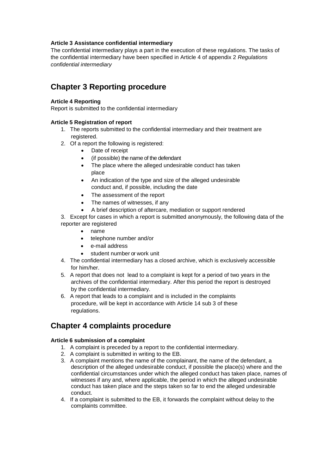#### **Article 3 Assistance confidential intermediary**

The confidential intermediary plays a part in the execution of these regulations. The tasks of the confidential intermediary have been specified in Article 4 of appendix 2 *Regulations confidential intermediary*

## **Chapter 3 Reporting procedure**

#### **Article 4 Reporting**

Report is submitted to the confidential intermediary

#### **Article 5 Registration of report**

- 1. The reports submitted to the confidential intermediary and their treatment are registered.
- 2. Of a report the following is registered:
	- Date of receipt
	- (if possible) the name of the defendant
	- The place where the alleged undesirable conduct has taken place
	- An indication of the type and size of the alleged undesirable conduct and, if possible, including the date
	- The assessment of the report
	- The names of witnesses, if any
	- A brief description of aftercare, mediation or support rendered

3. Except for cases in which a report is submitted anonymously, the following data of the reporter are registered

- name
- telephone number and/or
- e-mail address
- student number or work unit
- 4. The confidential intermediary has a closed archive, which is exclusively accessible for him/her.
- 5. A report that does not lead to a complaint is kept for a period of two years in the archives of the confidential intermediary. After this period the report is destroyed by the confidential intermediary.
- 6. A report that leads to a complaint and is included in the complaints procedure, will be kept in accordance with Article 14 sub 3 of these regulations.

### **Chapter 4 complaints procedure**

#### **Article 6 submission of a complaint**

- 1. A complaint is preceded by a report to the confidential intermediary.
- 2. A complaint is submitted in writing to the EB.
- 3. A complaint mentions the name of the complainant, the name of the defendant, a description of the alleged undesirable conduct, if possible the place(s) where and the confidential circumstances under which the alleged conduct has taken place, names of witnesses if any and, where applicable, the period in which the alleged undesirable conduct has taken place and the steps taken so far to end the alleged undesirable conduct.
- 4. If a complaint is submitted to the EB, it forwards the complaint without delay to the complaints committee.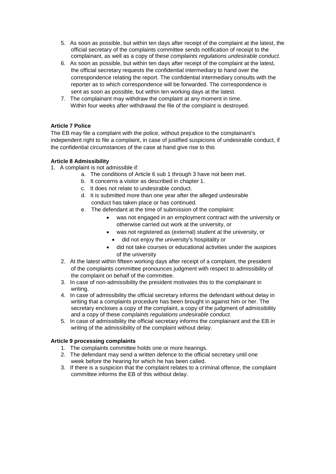- 5. As soon as possible, but within ten days after receipt of the complaint at the latest, the official secretary of the complaints committee sends notification of receipt to the complainant, as well as a copy of these *complaints regulations undesirable conduct*.
- 6. As soon as possible, but within ten days after receipt of the complaint at the latest, the official secretary requests the confidential intermediary to hand over the correspondence relating the report. The confidential intermediary consults with the reporter as to which correspondence will be forwarded. The correspondence is sent as soon as possible, but within ten working days at the latest.
- 7. The complainant may withdraw the complaint at any moment in time. Within four weeks after withdrawal the file of the complaint is destroyed.

#### **Article 7 Police**

The EB may file a complaint with the police, without prejudice to the complainant's independent right to file a complaint, in case of justified suspicions of undesirable conduct, if the confidential circumstances of the case at hand give rise to this

#### **Article 8 Admissibility**

- 1. A complaint is not admissible if:
	- a. The conditions of Article 6 sub 1 through 3 have not been met.
	- b. It concerns a visitor as described in chapter 1.
	- c. It does not relate to undesirable conduct.
	- d. It is submitted more than one year after the alleged undesirable conduct has taken place or has continued.
	- e. The defendant at the time of submission of the complaint:
		- was not engaged in an employment contract with the university or otherwise carried out work at the university, or
		- was not registered as (external) student at the university, or
			- did not enjoy the university's hospitality or
		- did not take courses or educational activities under the auspices of the university
	- 2. At the latest within fifteen working days after receipt of a complaint, the president of the complaints committee pronounces judgment with respect to admissibility of the complaint on behalf of the committee.
	- 3. In case of non-admissibility the president motivates this to the complainant in writing.
	- 4. In case of admissibility the official secretary informs the defendant without delay in writing that a complaints procedure has been brought in against him or her. The secretary encloses a copy of the complaint, a copy of the judgment of admissibility and a copy of these *complaints regulations undesirable conduct.*
	- 5. In case of admissibility the official secretary informs the complainant and the EB in writing of the admissibility of the complaint without delay.

#### **Article 9 processing complaints**

- 1. The complaints committee holds one or more hearings.
- 2. The defendant may send a written defence to the official secretary until one week before the hearing for which he has been called.
- 3. If there is a suspicion that the complaint relates to a criminal offence, the complaint committee informs the EB of this without delay.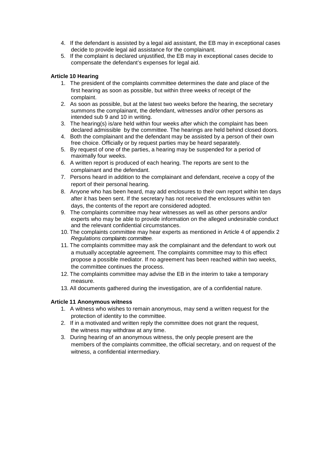- 4. If the defendant is assisted by a legal aid assistant, the EB may in exceptional cases decide to provide legal aid assistance for the complainant.
- 5. If the complaint is declared unjustified, the EB may in exceptional cases decide to compensate the defendant's expenses for legal aid.

#### **Article 10 Hearing**

- 1. The president of the complaints committee determines the date and place of the first hearing as soon as possible, but within three weeks of receipt of the complaint.
- 2. As soon as possible, but at the latest two weeks before the hearing, the secretary summons the complainant, the defendant, witnesses and/or other persons as intended sub 9 and 10 in writing.
- 3. The hearing(s) is/are held within four weeks after which the complaint has been declared admissible by the committee. The hearings are held behind closed doors.
- 4. Both the complainant and the defendant may be assisted by a person of their own free choice. Officially or by request parties may be heard separately.
- 5. By request of one of the parties, a hearing may be suspended for a period of maximally four weeks.
- 6. A written report is produced of each hearing. The reports are sent to the complainant and the defendant.
- 7. Persons heard in addition to the complainant and defendant, receive a copy of the report of their personal hearing.
- 8. Anyone who has been heard, may add enclosures to their own report within ten days after it has been sent. If the secretary has not received the enclosures within ten days, the contents of the report are considered adopted.
- 9. The complaints committee may hear witnesses as well as other persons and/or experts who may be able to provide information on the alleged undesirable conduct and the relevant confidential circumstances.
- 10. The complaints committee may hear experts as mentioned in Article 4 of appendix 2 *Regulations complaints committee.*
- 11. The complaints committee may ask the complainant and the defendant to work out a mutually acceptable agreement. The complaints committee may to this effect propose a possible mediator. If no agreement has been reached within two weeks, the committee continues the process.
- 12. The complaints committee may advise the EB in the interim to take a temporary measure.
- 13. All documents gathered during the investigation, are of a confidential nature.

#### **Article 11 Anonymous witness**

- 1. A witness who wishes to remain anonymous, may send a written request for the protection of identity to the committee.
- 2. If in a motivated and written reply the committee does not grant the request, the witness may withdraw at any time.
- 3. During hearing of an anonymous witness, the only people present are the members of the complaints committee, the official secretary, and on request of the witness, a confidential intermediary.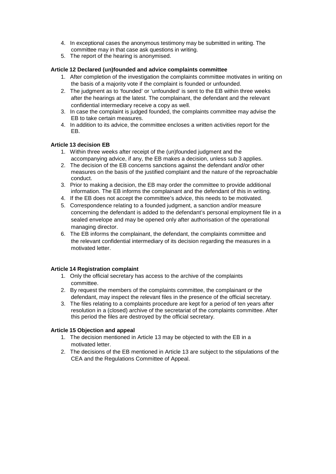- 4. In exceptional cases the anonymous testimony may be submitted in writing. The committee may in that case ask questions in writing.
- 5. The report of the hearing is anonymised.

#### **Article 12 Declared (un)founded and advice complaints committee**

- 1. After completion of the investigation the complaints committee motivates in writing on the basis of a majority vote if the complaint is founded or unfounded.
- 2. The judgment as to 'founded' or 'unfounded' is sent to the EB within three weeks after the hearings at the latest. The complainant, the defendant and the relevant confidential intermediary receive a copy as well.
- 3. In case the complaint is judged founded, the complaints committee may advise the EB to take certain measures.
- 4. In addition to its advice, the committee encloses a written activities report for the EB.

#### **Article 13 decision EB**

- 1. Within three weeks after receipt of the (un)founded judgment and the accompanying advice, if any, the EB makes a decision, unless sub 3 applies.
- 2. The decision of the EB concerns sanctions against the defendant and/or other measures on the basis of the justified complaint and the nature of the reproachable conduct.
- 3. Prior to making a decision, the EB may order the committee to provide additional information. The EB informs the complainant and the defendant of this in writing.
- 4. If the EB does not accept the committee's advice, this needs to be motivated.
- 5. Correspondence relating to a founded judgment, a sanction and/or measure concerning the defendant is added to the defendant's personal employment file in a sealed envelope and may be opened only after authorisation of the operational managing director.
- 6. The EB informs the complainant, the defendant, the complaints committee and the relevant confidential intermediary of its decision regarding the measures in a motivated letter.

#### **Article 14 Registration complaint**

- 1. Only the official secretary has access to the archive of the complaints committee.
- 2. By request the members of the complaints committee, the complainant or the defendant, may inspect the relevant files in the presence of the official secretary.
- 3. The files relating to a complaints procedure are kept for a period of ten years after resolution in a (closed) archive of the secretariat of the complaints committee. After this period the files are destroyed by the official secretary.

#### **Article 15 Objection and appeal**

- 1. The decision mentioned in Article 13 may be objected to with the EB in a motivated letter.
- 2. The decisions of the EB mentioned in Article 13 are subject to the stipulations of the CEA and the Regulations Committee of Appeal.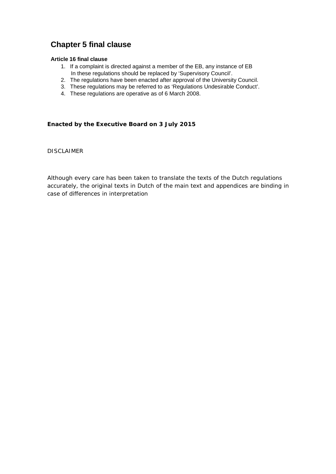# **Chapter 5 final clause**

#### **Article 16 final clause**

- 1. If a complaint is directed against a member of the EB, any instance of EB In these regulations should be replaced by 'Supervisory Council'.
- 2. The regulations have been enacted after approval of the University Council.
- 3. These regulations may be referred to as 'Regulations Undesirable Conduct'.
- 4. These regulations are operative as of 6 March 2008.

#### **Enacted by the Executive Board on 3 July 2015**

*DISCLAIMER*

*Although every care has been taken to translate the texts of the Dutch regulations accurately, the original texts in Dutch of the main text and appendices are binding in case of differences in interpretation*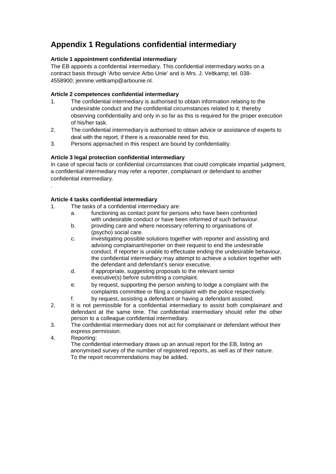# **Appendix 1 Regulations confidential intermediary**

#### **Article 1 appointment confidential intermediary**

The EB appoints a confidential intermediary. This confidential intermediary works on a contract basis through 'Arbo service Arbo Unie' and is Mrs. J. Veltkamp; tel. 038- 4558900; [jennine.veltkamp@arbounie.nl.](mailto:jennine.veltkamp@arbounie.nl)

#### **Article 2 competences confidential intermediary**

- 1. The confidential intermediary is authorised to obtain information relating to the undesirable conduct and the confidential circumstances related to it, thereby observing confidentiality and only in so far as this is required for the proper execution of his/her task.
- 2. The confidential intermediary is authorised to obtain advice or assistance of experts to deal with the report, if there is a reasonable need for this.
- 3. Persons approached in this respect are bound by confidentiality.

#### **Article 3 legal protection confidential intermediary**

In case of special facts or confidential circumstances that could complicate impartial judgment, a confidential intermediary may refer a reporter, complainant or defendant to another confidential intermediary.

#### **Article 4 tasks confidential intermediary**

- 1. The tasks of a confidential intermediary are:
	- a. functioning as contact point for persons who have been confronted with undesirable conduct or have been informed of such behaviour.
	- b. providing care and where necessary referring to organisations of (psycho) social care.
	- c. investigating possible solutions together with reporter and assisting and advising complainant/reporter on their request to end the undesirable conduct. If reporter is unable to effectuate ending the undesirable behaviour, the confidential intermediary may attempt to achieve a solution together with the defendant and defendant's senior executive.
	- d. if appropriate, suggesting proposals to the relevant senior executive(s) before submitting a complaint.
	- e. by request, supporting the person wishing to lodge a complaint with the complaints committee or filing a complaint with the police respectively.
	- f. by request, assisting a defendant or having a defendant assisted.
- 2. It is not permissible for a confidential intermediary to assist both complainant and defendant at the same time. The confidential intermediary should refer the other person to a colleague confidential intermediary.
- 3. The confidential intermediary does not act for complainant or defendant without their express permission.
- 4. Reporting:

.

The confidential intermediary draws up an annual report for the EB, listing an anonymised survey of the number of registered reports, as well as of their nature. To the report recommendations may be added.